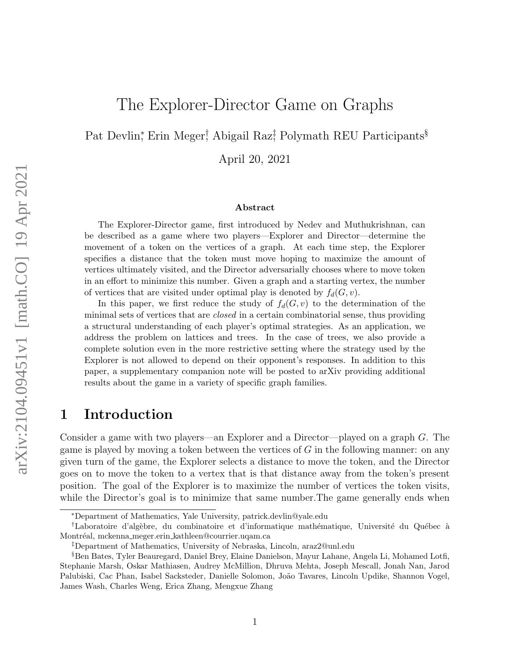# The Explorer-Director Game on Graphs

Pat Devlin<sup>\*</sup>, Erin Meger<sup>†</sup>, Abigail Raz<sup>‡</sup>, Polymath REU Participants<sup>§</sup>

April 20, 2021

#### Abstract

The Explorer-Director game, first introduced by Nedev and Muthukrishnan, can be described as a game where two players—Explorer and Director—determine the movement of a token on the vertices of a graph. At each time step, the Explorer specifies a distance that the token must move hoping to maximize the amount of vertices ultimately visited, and the Director adversarially chooses where to move token in an effort to minimize this number. Given a graph and a starting vertex, the number of vertices that are visited under optimal play is denoted by  $f_d(G, v)$ .

In this paper, we first reduce the study of  $f_d(G, v)$  to the determination of the minimal sets of vertices that are closed in a certain combinatorial sense, thus providing a structural understanding of each player's optimal strategies. As an application, we address the problem on lattices and trees. In the case of trees, we also provide a complete solution even in the more restrictive setting where the strategy used by the Explorer is not allowed to depend on their opponent's responses. In addition to this paper, a supplementary companion note will be posted to arXiv providing additional results about the game in a variety of specific graph families.

# 1 Introduction

Consider a game with two players—an Explorer and a Director—played on a graph G. The game is played by moving a token between the vertices of  $G$  in the following manner: on any given turn of the game, the Explorer selects a distance to move the token, and the Director goes on to move the token to a vertex that is that distance away from the token's present position. The goal of the Explorer is to maximize the number of vertices the token visits, while the Director's goal is to minimize that same number. The game generally ends when

<sup>∗</sup>Department of Mathematics, Yale University, patrick.devlin@yale.edu

<sup>&</sup>lt;sup>†</sup>Laboratoire d'algèbre, du combinatoire et d'informatique mathématique, Université du Québec à Montréal, mckenna meger.erin kathleen@courrier.uqam.ca

<sup>‡</sup>Department of Mathematics, University of Nebraska, Lincoln, araz2@unl.edu

<sup>§</sup>Ben Bates, Tyler Beauregard, Daniel Brey, Elaine Danielson, Mayur Lahane, Angela Li, Mohamed Lotfi, Stephanie Marsh, Oskar Mathiasen, Audrey McMillion, Dhruva Mehta, Joseph Mescall, Jonah Nan, Jarod Palubiski, Cac Phan, Isabel Sacksteder, Danielle Solomon, João Tavares, Lincoln Updike, Shannon Vogel, James Wash, Charles Weng, Erica Zhang, Mengxue Zhang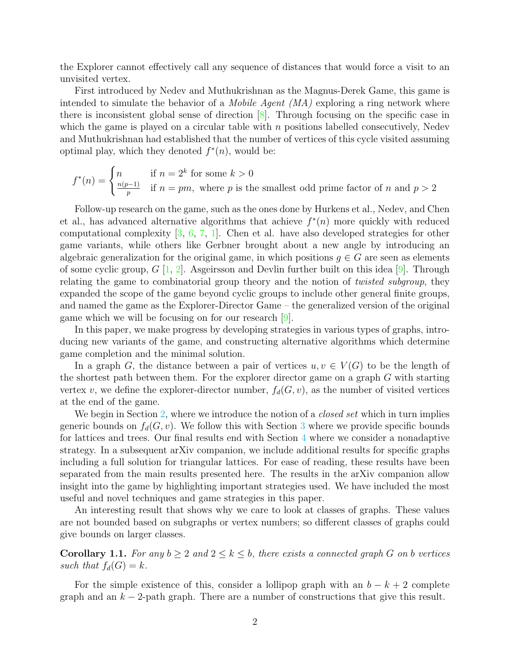the Explorer cannot effectively call any sequence of distances that would force a visit to an unvisited vertex.

First introduced by Nedev and Muthukrishnan as the Magnus-Derek Game, this game is intended to simulate the behavior of a *Mobile Agent (MA)* exploring a ring network where there is inconsistent global sense of direction [\[8\]](#page-11-0). Through focusing on the specific case in which the game is played on a circular table with  $n$  positions labelled consecutively, Nedev and Muthukrishnan had established that the number of vertices of this cycle visited assuming optimal play, which they denoted  $f^*(n)$ , would be:

$$
f^*(n) = \begin{cases} n & \text{if } n = 2^k \text{ for some } k > 0\\ \frac{n(p-1)}{p} & \text{if } n = pm, \text{ where } p \text{ is the smallest odd prime factor of } n \text{ and } p > 2 \end{cases}
$$

Follow-up research on the game, such as the ones done by Hurkens et al., Nedev, and Chen et al., has advanced alternative algorithms that achieve  $f^*(n)$  more quickly with reduced computational complexity [\[3,](#page-10-0) [6,](#page-10-1) [7,](#page-10-2) [1\]](#page-10-3). Chen et al. have also developed strategies for other game variants, while others like Gerbner brought about a new angle by introducing an algebraic generalization for the original game, in which positions  $g \in G$  are seen as elements of some cyclic group,  $G$  [\[1,](#page-10-3) [2\]](#page-10-4). Asgeirsson and Devlin further built on this idea [\[9\]](#page-11-1). Through relating the game to combinatorial group theory and the notion of *twisted subgroup*, they expanded the scope of the game beyond cyclic groups to include other general finite groups, and named the game as the Explorer-Director Game – the generalized version of the original game which we will be focusing on for our research [\[9\]](#page-11-1).

In this paper, we make progress by developing strategies in various types of graphs, introducing new variants of the game, and constructing alternative algorithms which determine game completion and the minimal solution.

In a graph G, the distance between a pair of vertices  $u, v \in V(G)$  to be the length of the shortest path between them. For the explorer director game on a graph G with starting vertex v, we define the explorer-director number,  $f_d(G, v)$ , as the number of visited vertices at the end of the game.

We begin in Section [2,](#page-2-0) where we introduce the notion of a *closed set* which in turn implies generic bounds on  $f_d(G, v)$ . We follow this with Section [3](#page-3-0) where we provide specific bounds for lattices and trees. Our final results end with Section [4](#page-7-0) where we consider a nonadaptive strategy. In a subsequent arXiv companion, we include additional results for specific graphs including a full solution for triangular lattices. For ease of reading, these results have been separated from the main results presented here. The results in the arXiv companion allow insight into the game by highlighting important strategies used. We have included the most useful and novel techniques and game strategies in this paper.

An interesting result that shows why we care to look at classes of graphs. These values are not bounded based on subgraphs or vertex numbers; so different classes of graphs could give bounds on larger classes.

**Corollary 1.1.** For any  $b \geq 2$  and  $2 \leq k \leq b$ , there exists a connected graph G on b vertices such that  $f_d(G) = k$ .

For the simple existence of this, consider a lollipop graph with an  $b - k + 2$  complete graph and an  $k-2$ -path graph. There are a number of constructions that give this result.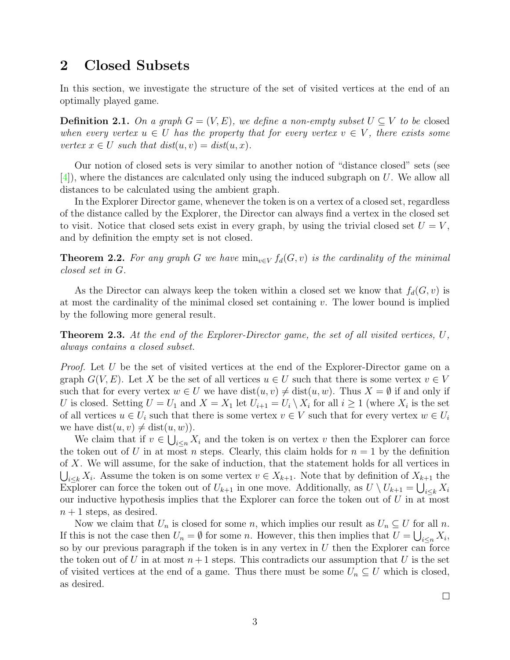# <span id="page-2-0"></span>2 Closed Subsets

In this section, we investigate the structure of the set of visited vertices at the end of an optimally played game.

**Definition 2.1.** On a graph  $G = (V, E)$ , we define a non-empty subset  $U \subseteq V$  to be closed when every vertex  $u \in U$  has the property that for every vertex  $v \in V$ , there exists some vertex  $x \in U$  such that  $dist(u, v) = dist(u, x)$ .

Our notion of closed sets is very similar to another notion of "distance closed" sets (see [\[4\]](#page-10-5)), where the distances are calculated only using the induced subgraph on U. We allow all distances to be calculated using the ambient graph.

In the Explorer Director game, whenever the token is on a vertex of a closed set, regardless of the distance called by the Explorer, the Director can always find a vertex in the closed set to visit. Notice that closed sets exist in every graph, by using the trivial closed set  $U = V$ , and by definition the empty set is not closed.

**Theorem 2.2.** For any graph G we have  $\min_{v \in V} f_d(G, v)$  is the cardinality of the minimal closed set in G.

As the Director can always keep the token within a closed set we know that  $f_d(G, v)$  is at most the cardinality of the minimal closed set containing  $v$ . The lower bound is implied by the following more general result.

<span id="page-2-1"></span>**Theorem 2.3.** At the end of the Explorer-Director game, the set of all visited vertices,  $U$ , always contains a closed subset.

Proof. Let U be the set of visited vertices at the end of the Explorer-Director game on a graph  $G(V, E)$ . Let X be the set of all vertices  $u \in U$  such that there is some vertex  $v \in V$ such that for every vertex  $w \in U$  we have  $dist(u, v) \neq dist(u, w)$ . Thus  $X = \emptyset$  if and only if U is closed. Setting  $U = U_1$  and  $X = X_1$  let  $U_{i+1} = U_i \setminus X_i$  for all  $i \geq 1$  (where  $X_i$  is the set of all vertices  $u \in U_i$  such that there is some vertex  $v \in V$  such that for every vertex  $w \in U_i$ we have  $dist(u, v) \neq dist(u, w)$ .

We claim that if  $v \in \bigcup_{i \leq n} X_i$  and the token is on vertex v then the Explorer can force the token out of U in at most n steps. Clearly, this claim holds for  $n = 1$  by the definition of X. We will assume, for the sake of induction, that the statement holds for all vertices in  $\bigcup_{i\leq k} X_i$ . Assume the token is on some vertex  $v \in X_{k+1}$ . Note that by definition of  $X_{k+1}$  the Explorer can force the token out of  $U_{k+1}$  in one move. Additionally, as  $U \setminus U_{k+1} = \bigcup_{i \leq k} X_i$ our inductive hypothesis implies that the Explorer can force the token out of  $U$  in at most  $n+1$  steps, as desired.

Now we claim that  $U_n$  is closed for some n, which implies our result as  $U_n \subseteq U$  for all n. If this is not the case then  $U_n = \emptyset$  for some n. However, this then implies that  $U = \bigcup_{i \leq n} X_i$ , so by our previous paragraph if the token is in any vertex in  $U$  then the Explorer can force the token out of U in at most  $n+1$  steps. This contradicts our assumption that U is the set of visited vertices at the end of a game. Thus there must be some  $U_n \subseteq U$  which is closed, as desired.

 $\Box$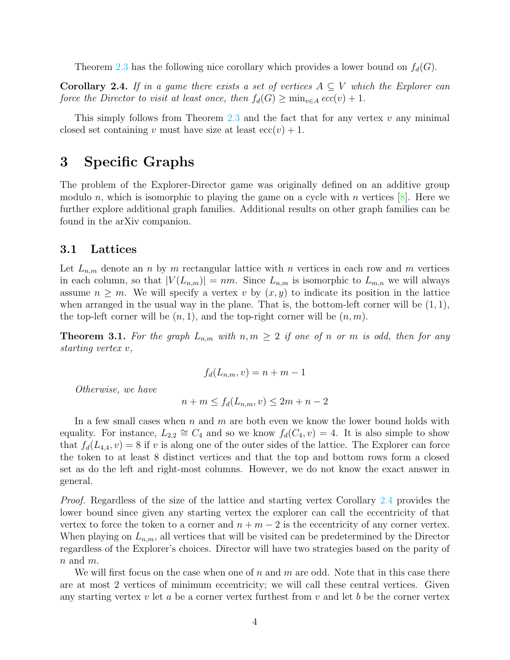Theorem [2.3](#page-2-1) has the following nice corollary which provides a lower bound on  $f_d(G)$ .

<span id="page-3-1"></span>**Corollary 2.4.** If in a game there exists a set of vertices  $A \subseteq V$  which the Explorer can force the Director to visit at least once, then  $f_d(G) \ge \min_{v \in A} ecc(v) + 1$ .

This simply follows from Theorem [2.3](#page-2-1) and the fact that for any vertex  $v$  any minimal closed set containing v must have size at least  $ecc(v) + 1$ .

### <span id="page-3-0"></span>3 Specific Graphs

The problem of the Explorer-Director game was originally defined on an additive group modulo n, which is isomorphic to playing the game on a cycle with n vertices  $[8]$ . Here we further explore additional graph families. Additional results on other graph families can be found in the arXiv companion.

### 3.1 Lattices

Let  $L_{n,m}$  denote an n by m rectangular lattice with n vertices in each row and m vertices in each column, so that  $|V(L_{n,m})| = nm$ . Since  $L_{n,m}$  is isomorphic to  $L_{m,n}$  we will always assume  $n \geq m$ . We will specify a vertex v by  $(x, y)$  to indicate its position in the lattice when arranged in the usual way in the plane. That is, the bottom-left corner will be  $(1,1)$ , the top-left corner will be  $(n, 1)$ , and the top-right corner will be  $(n, m)$ .

**Theorem 3.1.** For the graph  $L_{n,m}$  with  $n, m \geq 2$  if one of n or m is odd, then for any starting vertex v,

$$
f_d(L_{n,m}, v) = n + m - 1
$$

Otherwise, we have

$$
n + m \le f_d(L_{n,m}, v) \le 2m + n - 2
$$

In a few small cases when  $n$  and  $m$  are both even we know the lower bound holds with equality. For instance,  $L_{2,2} \cong C_4$  and so we know  $f_d(C_4, v) = 4$ . It is also simple to show that  $f_d(L_{4,4}, v) = 8$  if v is along one of the outer sides of the lattice. The Explorer can force the token to at least 8 distinct vertices and that the top and bottom rows form a closed set as do the left and right-most columns. However, we do not know the exact answer in general.

Proof. Regardless of the size of the lattice and starting vertex Corollary [2.4](#page-3-1) provides the lower bound since given any starting vertex the explorer can call the eccentricity of that vertex to force the token to a corner and  $n + m - 2$  is the eccentricity of any corner vertex. When playing on  $L_{n,m}$ , all vertices that will be visited can be predetermined by the Director regardless of the Explorer's choices. Director will have two strategies based on the parity of  $n$  and  $m$ .

We will first focus on the case when one of n and  $m$  are odd. Note that in this case there are at most 2 vertices of minimum eccentricity; we will call these central vertices. Given any starting vertex  $v$  let  $a$  be a corner vertex furthest from  $v$  and let  $b$  be the corner vertex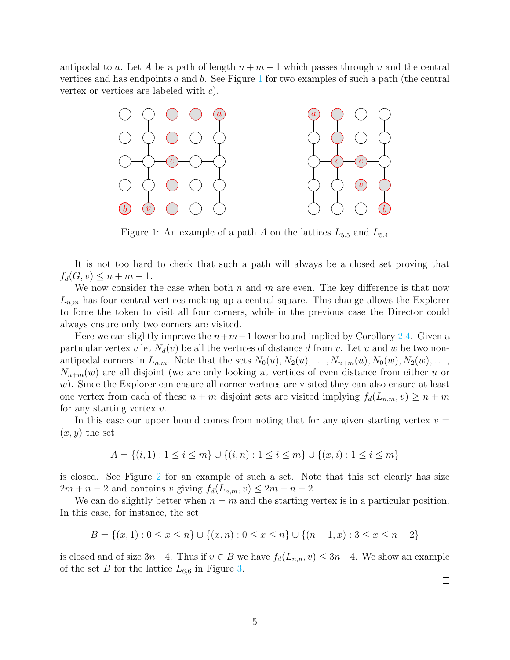antipodal to a. Let A be a path of length  $n + m - 1$  which passes through v and the central vertices and has endpoints a and b. See Figure  $1$  for two examples of such a path (the central vertex or vertices are labeled with c).



<span id="page-4-0"></span>Figure 1: An example of a path A on the lattices  $L_{5,5}$  and  $L_{5,4}$ 

It is not too hard to check that such a path will always be a closed set proving that  $f_d(G, v) \leq n + m - 1.$ 

We now consider the case when both  $n$  and  $m$  are even. The key difference is that now  $L_{n,m}$  has four central vertices making up a central square. This change allows the Explorer to force the token to visit all four corners, while in the previous case the Director could always ensure only two corners are visited.

Here we can slightly improve the  $n+m-1$  lower bound implied by Corollary [2.4.](#page-3-1) Given a particular vertex v let  $N_d(v)$  be all the vertices of distance d from v. Let u and w be two nonantipodal corners in  $L_{n,m}$ . Note that the sets  $N_0(u), N_2(u), \ldots, N_{n+m}(u), N_0(w), N_2(w), \ldots$  $N_{n+m}(w)$  are all disjoint (we are only looking at vertices of even distance from either u or w). Since the Explorer can ensure all corner vertices are visited they can also ensure at least one vertex from each of these  $n + m$  disjoint sets are visited implying  $f_d(L_{n,m}, v) \geq n + m$ for any starting vertex  $v$ .

In this case our upper bound comes from noting that for any given starting vertex  $v =$  $(x, y)$  the set

$$
A = \{(i, 1) : 1 \le i \le m\} \cup \{(i, n) : 1 \le i \le m\} \cup \{(x, i) : 1 \le i \le m\}
$$

is closed. See Figure [2](#page-5-0) for an example of such a set. Note that this set clearly has size  $2m + n - 2$  and contains v giving  $f_d(L_{n,m}, v) \leq 2m + n - 2$ .

We can do slightly better when  $n = m$  and the starting vertex is in a particular position. In this case, for instance, the set

$$
B = \{(x, 1) : 0 \le x \le n\} \cup \{(x, n) : 0 \le x \le n\} \cup \{(n - 1, x) : 3 \le x \le n - 2\}
$$

is closed and of size  $3n-4$ . Thus if  $v \in B$  we have  $f_d(L_{n,n}, v) \leq 3n-4$ . We show an example of the set B for the lattice  $L_{6,6}$  in Figure [3.](#page-5-1)

 $\Box$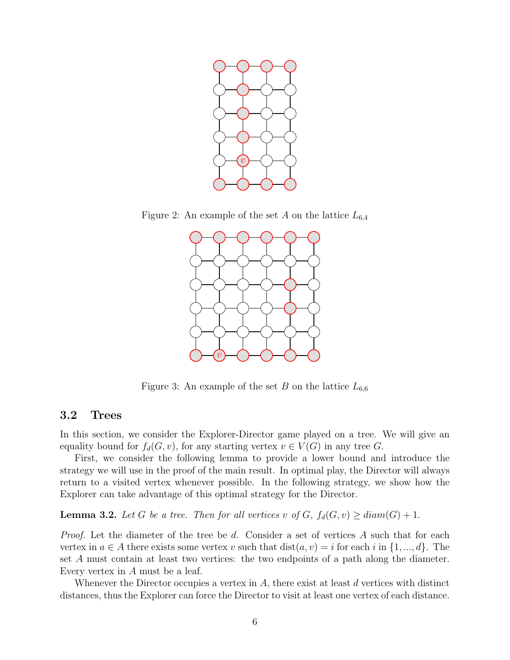

Figure 2: An example of the set A on the lattice  $L_{6,4}$ 

<span id="page-5-0"></span>

<span id="page-5-1"></span>Figure 3: An example of the set B on the lattice  $L_{6,6}$ 

### 3.2 Trees

In this section, we consider the Explorer-Director game played on a tree. We will give an equality bound for  $f_d(G, v)$ , for any starting vertex  $v \in V(G)$  in any tree G.

First, we consider the following lemma to provide a lower bound and introduce the strategy we will use in the proof of the main result. In optimal play, the Director will always return to a visited vertex whenever possible. In the following strategy, we show how the Explorer can take advantage of this optimal strategy for the Director.

<span id="page-5-2"></span>**Lemma 3.2.** Let G be a tree. Then for all vertices v of G,  $f_d(G, v) \geq diam(G) + 1$ .

Proof. Let the diameter of the tree be d. Consider a set of vertices A such that for each vertex in  $a \in A$  there exists some vertex v such that  $dist(a, v) = i$  for each i in  $\{1, ..., d\}$ . The set A must contain at least two vertices: the two endpoints of a path along the diameter. Every vertex in A must be a leaf.

Whenever the Director occupies a vertex in  $A$ , there exist at least  $d$  vertices with distinct distances, thus the Explorer can force the Director to visit at least one vertex of each distance.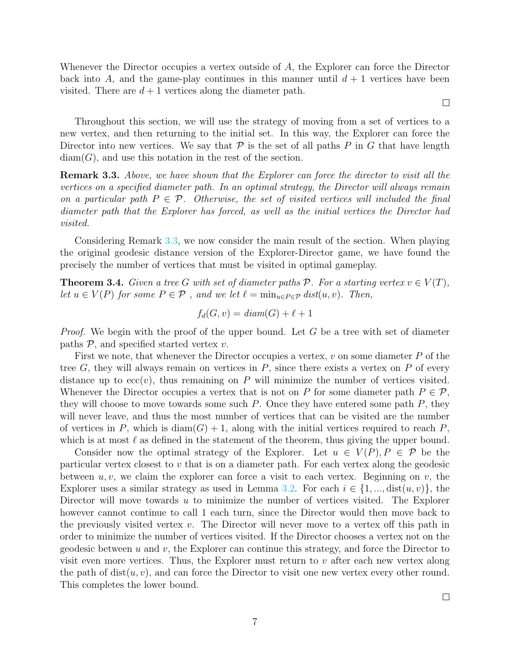Whenever the Director occupies a vertex outside of A, the Explorer can force the Director back into A, and the game-play continues in this manner until  $d + 1$  vertices have been visited. There are  $d+1$  vertices along the diameter path.

Throughout this section, we will use the strategy of moving from a set of vertices to a new vertex, and then returning to the initial set. In this way, the Explorer can force the Director into new vertices. We say that  $P$  is the set of all paths P in G that have length  $diam(G)$ , and use this notation in the rest of the section.

<span id="page-6-0"></span>**Remark 3.3.** Above, we have shown that the Explorer can force the director to visit all the vertices on a specified diameter path. In an optimal strategy, the Director will always remain on a particular path  $P \in \mathcal{P}$ . Otherwise, the set of visited vertices will included the final diameter path that the Explorer has forced, as well as the initial vertices the Director had visited.

Considering Remark [3.3,](#page-6-0) we now consider the main result of the section. When playing the original geodesic distance version of the Explorer-Director game, we have found the precisely the number of vertices that must be visited in optimal gameplay.

<span id="page-6-1"></span>**Theorem 3.4.** Given a tree G with set of diameter paths P. For a starting vertex  $v \in V(T)$ , let  $u \in V(P)$  for some  $P \in \mathcal{P}$ , and we let  $\ell = \min_{u \in P \in \mathcal{P}} dist(u, v)$ . Then,

$$
f_d(G, v) = diam(G) + \ell + 1
$$

*Proof.* We begin with the proof of the upper bound. Let  $G$  be a tree with set of diameter paths  $P$ , and specified started vertex  $v$ .

First we note, that whenever the Director occupies a vertex,  $v$  on some diameter  $P$  of the tree  $G$ , they will always remain on vertices in  $P$ , since there exists a vertex on  $P$  of every distance up to  $ecc(v)$ , thus remaining on P will minimize the number of vertices visited. Whenever the Director occupies a vertex that is not on P for some diameter path  $P \in \mathcal{P}$ , they will choose to move towards some such  $P$ . Once they have entered some path  $P$ , they will never leave, and thus the most number of vertices that can be visited are the number of vertices in P, which is  $\text{diam}(G) + 1$ , along with the initial vertices required to reach P, which is at most  $\ell$  as defined in the statement of the theorem, thus giving the upper bound.

Consider now the optimal strategy of the Explorer. Let  $u \in V(P), P \in \mathcal{P}$  be the particular vertex closest to v that is on a diameter path. For each vertex along the geodesic between  $u, v$ , we claim the explorer can force a visit to each vertex. Beginning on  $v$ , the Explorer uses a similar strategy as used in Lemma [3.2.](#page-5-2) For each  $i \in \{1, ..., dist(u, v)\}\,$ , the Director will move towards  $u$  to minimize the number of vertices visited. The Explorer however cannot continue to call 1 each turn, since the Director would then move back to the previously visited vertex  $v$ . The Director will never move to a vertex off this path in order to minimize the number of vertices visited. If the Director chooses a vertex not on the geodesic between  $u$  and  $v$ , the Explorer can continue this strategy, and force the Director to visit even more vertices. Thus, the Explorer must return to  $v$  after each new vertex along the path of  $dist(u, v)$ , and can force the Director to visit one new vertex every other round. This completes the lower bound.

 $\Box$ 

 $\Box$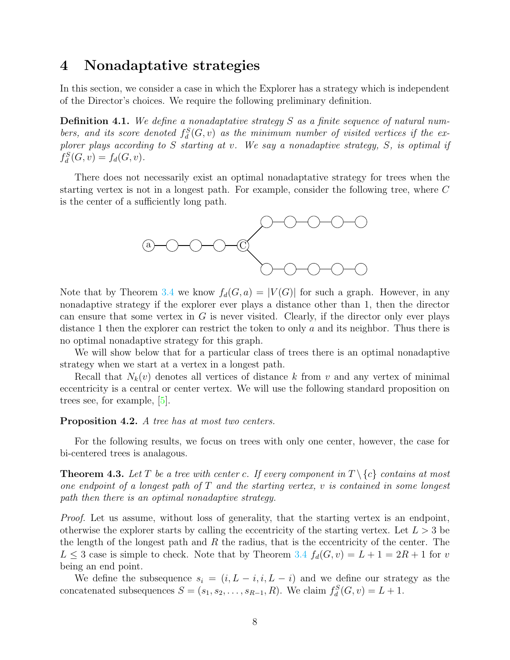# <span id="page-7-0"></span>4 Nonadaptative strategies

In this section, we consider a case in which the Explorer has a strategy which is independent of the Director's choices. We require the following preliminary definition.

**Definition 4.1.** We define a nonadaptative strategy  $S$  as a finite sequence of natural numbers, and its score denoted  $f_d^S(G, v)$  as the minimum number of visited vertices if the explorer plays according to S starting at v. We say a nonadaptive strategy, S, is optimal if  $f_d^S(G, v) = f_d(G, v).$ 

There does not necessarily exist an optimal nonadaptative strategy for trees when the starting vertex is not in a longest path. For example, consider the following tree, where C is the center of a sufficiently long path.



Note that by Theorem [3.4](#page-6-1) we know  $f_d(G, a) = |V(G)|$  for such a graph. However, in any nonadaptive strategy if the explorer ever plays a distance other than 1, then the director can ensure that some vertex in  $G$  is never visited. Clearly, if the director only ever plays distance 1 then the explorer can restrict the token to only  $a$  and its neighbor. Thus there is no optimal nonadaptive strategy for this graph.

We will show below that for a particular class of trees there is an optimal nonadaptive strategy when we start at a vertex in a longest path.

Recall that  $N_k(v)$  denotes all vertices of distance k from v and any vertex of minimal eccentricity is a central or center vertex. We will use the following standard proposition on trees see, for example, [\[5\]](#page-10-6).

#### Proposition 4.2. A tree has at most two centers.

For the following results, we focus on trees with only one center, however, the case for bi-centered trees is analagous.

**Theorem 4.3.** Let T be a tree with center c. If every component in  $T \setminus \{c\}$  contains at most one endpoint of a longest path of  $T$  and the starting vertex,  $v$  is contained in some longest path then there is an optimal nonadaptive strategy.

Proof. Let us assume, without loss of generality, that the starting vertex is an endpoint, otherwise the explorer starts by calling the eccentricity of the starting vertex. Let  $L > 3$  be the length of the longest path and  $R$  the radius, that is the eccentricity of the center. The  $L \leq 3$  case is simple to check. Note that by Theorem [3.4](#page-6-1)  $f_d(G, v) = L + 1 = 2R + 1$  for v being an end point.

We define the subsequence  $s_i = (i, L - i, i, L - i)$  and we define our strategy as the concatenated subsequences  $S = (s_1, s_2, \ldots, s_{R-1}, R)$ . We claim  $f_d^S(G, v) = L + 1$ .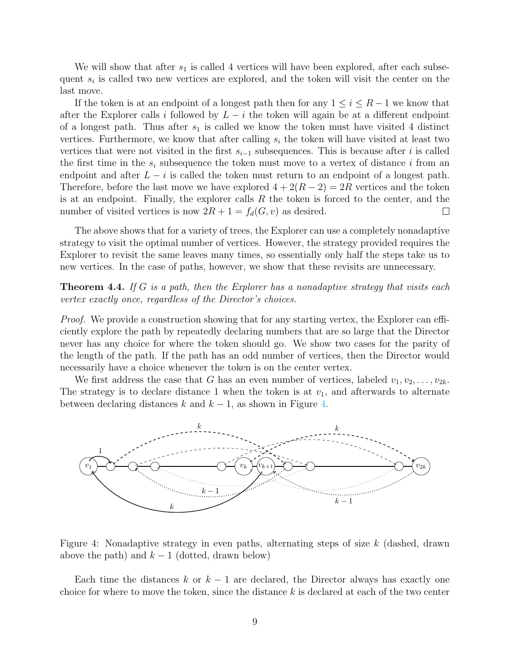We will show that after  $s_1$  is called 4 vertices will have been explored, after each subsequent  $s_i$  is called two new vertices are explored, and the token will visit the center on the last move.

If the token is at an endpoint of a longest path then for any  $1 \leq i \leq R-1$  we know that after the Explorer calls i followed by  $L - i$  the token will again be at a different endpoint of a longest path. Thus after  $s_1$  is called we know the token must have visited 4 distinct vertices. Furthermore, we know that after calling  $s_i$  the token will have visited at least two vertices that were not visited in the first  $s_{i-1}$  subsequences. This is because after i is called the first time in the  $s_i$  subsequence the token must move to a vertex of distance i from an endpoint and after  $L - i$  is called the token must return to an endpoint of a longest path. Therefore, before the last move we have explored  $4 + 2(R - 2) = 2R$  vertices and the token is at an endpoint. Finally, the explorer calls  $R$  the token is forced to the center, and the number of visited vertices is now  $2R + 1 = f_d(G, v)$  as desired.  $\Box$ 

The above shows that for a variety of trees, the Explorer can use a completely nonadaptive strategy to visit the optimal number of vertices. However, the strategy provided requires the Explorer to revisit the same leaves many times, so essentially only half the steps take us to new vertices. In the case of paths, however, we show that these revisits are unnecessary.

<span id="page-8-1"></span>**Theorem 4.4.** If G is a path, then the Explorer has a nonadaptive strategy that visits each vertex exactly once, regardless of the Director's choices.

Proof. We provide a construction showing that for any starting vertex, the Explorer can efficiently explore the path by repeatedly declaring numbers that are so large that the Director never has any choice for where the token should go. We show two cases for the parity of the length of the path. If the path has an odd number of vertices, then the Director would necessarily have a choice whenever the token is on the center vertex.

We first address the case that G has an even number of vertices, labeled  $v_1, v_2, \ldots, v_{2k}$ . The strategy is to declare distance 1 when the token is at  $v_1$ , and afterwards to alternate between declaring distances k and  $k - 1$ , as shown in Figure [4.](#page-8-0)



<span id="page-8-0"></span>Figure 4: Nonadaptive strategy in even paths, alternating steps of size  $k$  (dashed, drawn above the path) and  $k-1$  (dotted, drawn below)

Each time the distances k or  $k-1$  are declared, the Director always has exactly one choice for where to move the token, since the distance  $k$  is declared at each of the two center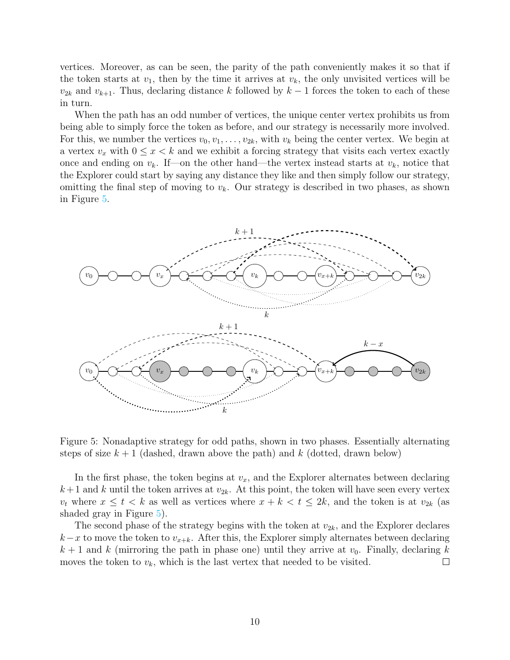vertices. Moreover, as can be seen, the parity of the path conveniently makes it so that if the token starts at  $v_1$ , then by the time it arrives at  $v_k$ , the only unvisited vertices will be  $v_{2k}$  and  $v_{k+1}$ . Thus, declaring distance k followed by  $k-1$  forces the token to each of these in turn.

When the path has an odd number of vertices, the unique center vertex prohibits us from being able to simply force the token as before, and our strategy is necessarily more involved. For this, we number the vertices  $v_0, v_1, \ldots, v_{2k}$ , with  $v_k$  being the center vertex. We begin at a vertex  $v_x$  with  $0 \le x < k$  and we exhibit a forcing strategy that visits each vertex exactly once and ending on  $v_k$ . If—on the other hand—the vertex instead starts at  $v_k$ , notice that the Explorer could start by saying any distance they like and then simply follow our strategy, omitting the final step of moving to  $v_k$ . Our strategy is described in two phases, as shown in Figure [5.](#page-9-0)



<span id="page-9-0"></span>Figure 5: Nonadaptive strategy for odd paths, shown in two phases. Essentially alternating steps of size  $k + 1$  (dashed, drawn above the path) and k (dotted, drawn below)

In the first phase, the token begins at  $v_x$ , and the Explorer alternates between declaring  $k+1$  and k until the token arrives at  $v_{2k}$ . At this point, the token will have seen every vertex  $v_t$  where  $x \leq t < k$  as well as vertices where  $x + k < t \leq 2k$ , and the token is at  $v_{2k}$  (as shaded gray in Figure [5\)](#page-9-0).

The second phase of the strategy begins with the token at  $v_{2k}$ , and the Explorer declares  $k-x$  to move the token to  $v_{x+k}$ . After this, the Explorer simply alternates between declaring  $k + 1$  and k (mirroring the path in phase one) until they arrive at  $v_0$ . Finally, declaring k moves the token to  $v_k$ , which is the last vertex that needed to be visited.  $\Box$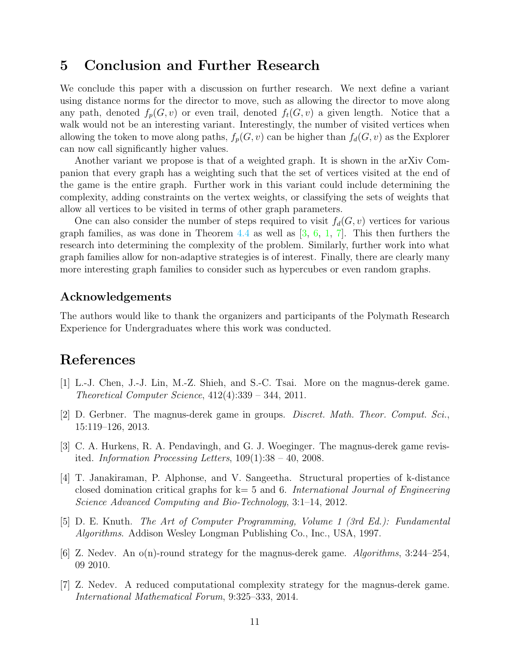# 5 Conclusion and Further Research

We conclude this paper with a discussion on further research. We next define a variant using distance norms for the director to move, such as allowing the director to move along any path, denoted  $f_p(G, v)$  or even trail, denoted  $f_t(G, v)$  a given length. Notice that a walk would not be an interesting variant. Interestingly, the number of visited vertices when allowing the token to move along paths,  $f_p(G, v)$  can be higher than  $f_d(G, v)$  as the Explorer can now call significantly higher values.

Another variant we propose is that of a weighted graph. It is shown in the arXiv Companion that every graph has a weighting such that the set of vertices visited at the end of the game is the entire graph. Further work in this variant could include determining the complexity, adding constraints on the vertex weights, or classifying the sets of weights that allow all vertices to be visited in terms of other graph parameters.

One can also consider the number of steps required to visit  $f_d(G, v)$  vertices for various graph families, as was done in Theorem [4.4](#page-8-1) as well as  $[3, 6, 1, 7]$  $[3, 6, 1, 7]$  $[3, 6, 1, 7]$  $[3, 6, 1, 7]$  $[3, 6, 1, 7]$  $[3, 6, 1, 7]$  $[3, 6, 1, 7]$ . This then furthers the research into determining the complexity of the problem. Similarly, further work into what graph families allow for non-adaptive strategies is of interest. Finally, there are clearly many more interesting graph families to consider such as hypercubes or even random graphs.

### Acknowledgements

The authors would like to thank the organizers and participants of the Polymath Research Experience for Undergraduates where this work was conducted.

# References

- <span id="page-10-3"></span>[1] L.-J. Chen, J.-J. Lin, M.-Z. Shieh, and S.-C. Tsai. More on the magnus-derek game. Theoretical Computer Science, 412(4):339 – 344, 2011.
- <span id="page-10-4"></span>[2] D. Gerbner. The magnus-derek game in groups. Discret. Math. Theor. Comput. Sci., 15:119–126, 2013.
- <span id="page-10-0"></span>[3] C. A. Hurkens, R. A. Pendavingh, and G. J. Woeginger. The magnus-derek game revisited. Information Processing Letters,  $109(1):38 - 40$ ,  $2008$ .
- <span id="page-10-5"></span>[4] T. Janakiraman, P. Alphonse, and V. Sangeetha. Structural properties of k-distance closed domination critical graphs for  $k=5$  and 6. International Journal of Engineering Science Advanced Computing and Bio-Technology, 3:1–14, 2012.
- <span id="page-10-6"></span>[5] D. E. Knuth. The Art of Computer Programming, Volume 1 (3rd Ed.): Fundamental Algorithms. Addison Wesley Longman Publishing Co., Inc., USA, 1997.
- <span id="page-10-1"></span>[6] Z. Nedev. An  $o(n)$ -round strategy for the magnus-derek game. Algorithms, 3:244–254, 09 2010.
- <span id="page-10-2"></span>[7] Z. Nedev. A reduced computational complexity strategy for the magnus-derek game. International Mathematical Forum, 9:325–333, 2014.